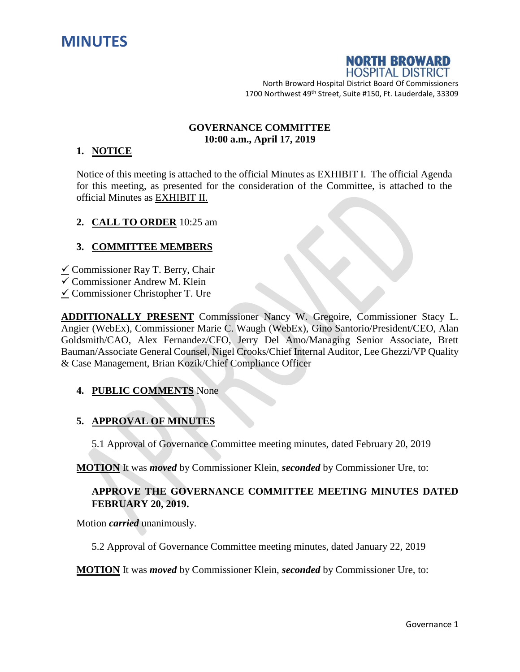



North Broward Hospital District Board Of Commissioners 1700 Northwest 49<sup>th</sup> Street, Suite #150, Ft. Lauderdale, 33309

#### **GOVERNANCE COMMITTEE 10:00 a.m., April 17, 2019**

### **1. NOTICE**

Notice of this meeting is attached to the official Minutes as EXHIBIT I. The official Agenda for this meeting, as presented for the consideration of the Committee, is attached to the official Minutes as EXHIBIT II.

### **2. CALL TO ORDER** 10:25 am

### **3. COMMITTEE MEMBERS**

- $\checkmark$  Commissioner Ray T. Berry, Chair
- $\checkmark$  Commissioner Andrew M. Klein
- $\checkmark$  Commissioner Christopher T. Ure

**ADDITIONALLY PRESENT** Commissioner Nancy W. Gregoire, Commissioner Stacy L. Angier (WebEx), Commissioner Marie C. Waugh (WebEx), Gino Santorio/President/CEO, Alan Goldsmith/CAO, Alex Fernandez/CFO, Jerry Del Amo/Managing Senior Associate, Brett Bauman/Associate General Counsel, Nigel Crooks/Chief Internal Auditor, Lee Ghezzi/VP Quality & Case Management, Brian Kozik/Chief Compliance Officer

### **4. PUBLIC COMMENTS** None

### **5. APPROVAL OF MINUTES**

5.1 Approval of Governance Committee meeting minutes, dated February 20, 2019

**MOTION** It was *moved* by Commissioner Klein, *seconded* by Commissioner Ure, to:

# **APPROVE THE GOVERNANCE COMMITTEE MEETING MINUTES DATED FEBRUARY 20, 2019.**

Motion *carried* unanimously.

5.2 Approval of Governance Committee meeting minutes, dated January 22, 2019

**MOTION** It was *moved* by Commissioner Klein, *seconded* by Commissioner Ure, to: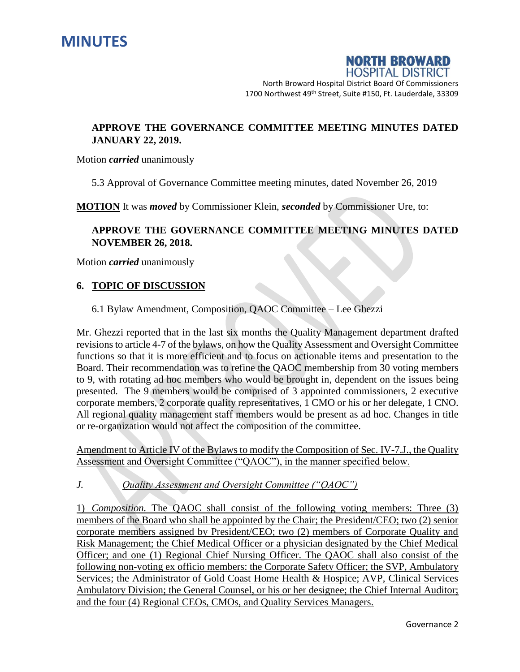



North Broward Hospital District Board Of Commissioners 1700 Northwest 49<sup>th</sup> Street, Suite #150, Ft. Lauderdale, 33309

# **APPROVE THE GOVERNANCE COMMITTEE MEETING MINUTES DATED JANUARY 22, 2019.**

Motion *carried* unanimously

5.3 Approval of Governance Committee meeting minutes, dated November 26, 2019

**MOTION** It was *moved* by Commissioner Klein, *seconded* by Commissioner Ure, to:

# **APPROVE THE GOVERNANCE COMMITTEE MEETING MINUTES DATED NOVEMBER 26, 2018.**

Motion *carried* unanimously

#### **6. TOPIC OF DISCUSSION**

6.1 Bylaw Amendment, Composition, QAOC Committee – Lee Ghezzi

Mr. Ghezzi reported that in the last six months the Quality Management department drafted revisions to article 4-7 of the bylaws, on how the Quality Assessment and Oversight Committee functions so that it is more efficient and to focus on actionable items and presentation to the Board. Their recommendation was to refine the QAOC membership from 30 voting members to 9, with rotating ad hoc members who would be brought in, dependent on the issues being presented. The 9 members would be comprised of 3 appointed commissioners, 2 executive corporate members, 2 corporate quality representatives, 1 CMO or his or her delegate, 1 CNO. All regional quality management staff members would be present as ad hoc. Changes in title or re-organization would not affect the composition of the committee.

Amendment to Article IV of the Bylaws to modify the Composition of Sec. IV-7.J., the Quality Assessment and Oversight Committee ("QAOC"), in the manner specified below.

*J. Quality Assessment and Oversight Committee ("QAOC")*

1) *Composition.* The QAOC shall consist of the following voting members: Three (3) members of the Board who shall be appointed by the Chair; the President/CEO; two (2) senior corporate members assigned by President/CEO; two (2) members of Corporate Quality and Risk Management; the Chief Medical Officer or a physician designated by the Chief Medical Officer; and one (1) Regional Chief Nursing Officer. The QAOC shall also consist of the following non-voting ex officio members: the Corporate Safety Officer; the SVP, Ambulatory Services; the Administrator of Gold Coast Home Health & Hospice; AVP, Clinical Services Ambulatory Division; the General Counsel, or his or her designee; the Chief Internal Auditor; and the four (4) Regional CEOs, CMOs, and Quality Services Managers.